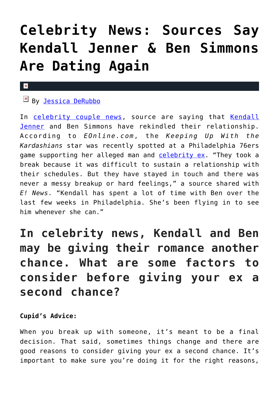# **[Celebrity News: Sources Say](https://cupidspulse.com/134168/celebrity-news-kendall-jenner-ben-simmons-dating-again/) [Kendall Jenner & Ben Simmons](https://cupidspulse.com/134168/celebrity-news-kendall-jenner-ben-simmons-dating-again/) [Are Dating Again](https://cupidspulse.com/134168/celebrity-news-kendall-jenner-ben-simmons-dating-again/)**

#### $\mathbf{x}$

## EN By [Jessica DeRubbo](http://cupidspulse.com/104599/jessica-derubbo/)

In [celebrity couple news,](http://cupidspulse.com/celebrity-news/) source are saying that [Kendall](http://cupidspulse.com/93049/kendall-jenner/) [Jenner](http://cupidspulse.com/93049/kendall-jenner/) and Ben Simmons have rekindled their relationship. According to *EOnline.com*, the *Keeping Up With the Kardashians* star was recently spotted at a Philadelphia 76ers game supporting her alleged man and [celebrity ex](http://cupidspulse.com/celebrity-relationships/break-up-divorce/). "They took a break because it was difficult to sustain a relationship with their schedules. But they have stayed in touch and there was never a messy breakup or hard feelings," a source shared with *E! News*. "Kendall has spent a lot of time with Ben over the last few weeks in Philadelphia. She's been flying in to see him whenever she can."

# **In celebrity news, Kendall and Ben may be giving their romance another chance. What are some factors to consider before giving your ex a second chance?**

### **Cupid's Advice:**

When you break up with someone, it's meant to be a final decision. That said, sometimes things change and there are good reasons to consider giving your ex a second chance. It's important to make sure you're doing it for the right reasons,